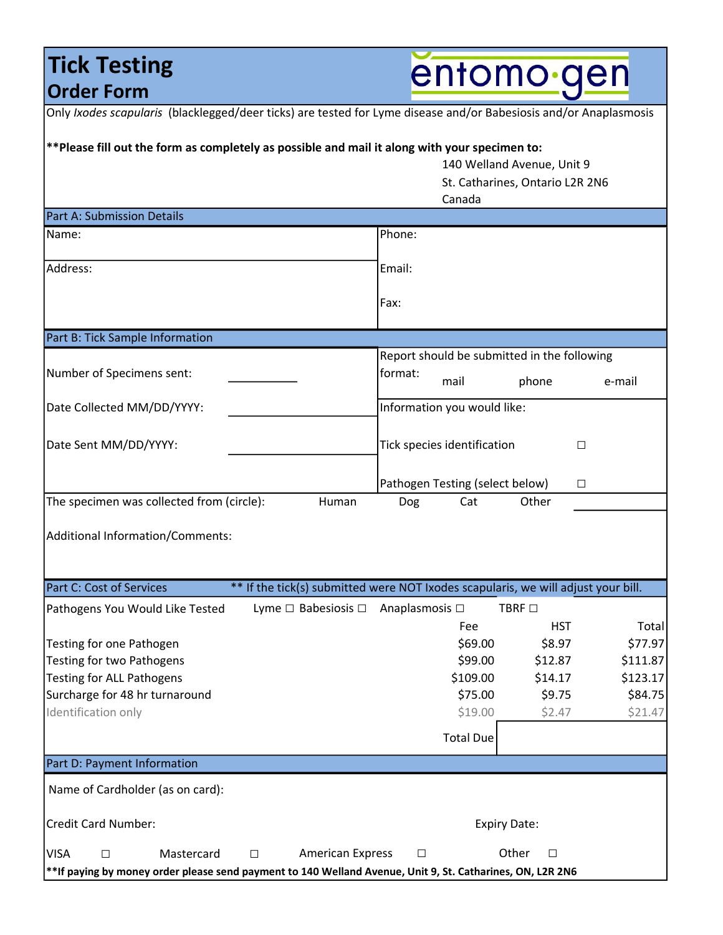### **Tick Testing** Order Form

entomo gen

| Only Ixodes scapularis (blacklegged/deer ticks) are tested for Lyme disease and/or Babesiosis and/or Anaplasmosis                                                                      |                                                                |                  |                    |
|----------------------------------------------------------------------------------------------------------------------------------------------------------------------------------------|----------------------------------------------------------------|------------------|--------------------|
| ** Please fill out the form as completely as possible and mail it along with your specimen to:<br>140 Welland Avenue, Unit 9<br>St. Catharines, Ontario L2R 2N6<br>Canada              |                                                                |                  |                    |
| <b>Part A: Submission Details</b>                                                                                                                                                      |                                                                |                  |                    |
| Name:                                                                                                                                                                                  | Phone:                                                         |                  |                    |
| Address:                                                                                                                                                                               | Email:                                                         |                  |                    |
|                                                                                                                                                                                        | Fax:                                                           |                  |                    |
| Part B: Tick Sample Information                                                                                                                                                        |                                                                |                  |                    |
| Number of Specimens sent:                                                                                                                                                              | Report should be submitted in the following<br>format:<br>mail | phone            | e-mail             |
| Date Collected MM/DD/YYYY:                                                                                                                                                             | Information you would like:                                    |                  |                    |
| Date Sent MM/DD/YYYY:                                                                                                                                                                  | Tick species identification<br>□                               |                  |                    |
|                                                                                                                                                                                        | Pathogen Testing (select below)<br>□                           |                  |                    |
| The specimen was collected from (circle):<br>Human                                                                                                                                     | Dog<br>Cat                                                     | Other            |                    |
| Additional Information/Comments:                                                                                                                                                       |                                                                |                  |                    |
| Part C: Cost of Services<br>** If the tick(s) submitted were NOT Ixodes scapularis, we will adjust your bill.                                                                          |                                                                |                  |                    |
| Lyme $\square$ Babesiosis $\square$<br>Pathogens You Would Like Tested                                                                                                                 | Anaplasmosis □                                                 | <b>TBRF</b> □    |                    |
|                                                                                                                                                                                        | Fee                                                            | HST.             | Total              |
| Testing for one Pathogen                                                                                                                                                               | \$69.00                                                        | \$8.97           | \$77.97            |
| Testing for two Pathogens                                                                                                                                                              | \$99.00                                                        | \$12.87          | \$111.87           |
| <b>Testing for ALL Pathogens</b>                                                                                                                                                       | \$109.00                                                       | \$14.17          | \$123.17           |
| Surcharge for 48 hr turnaround<br>Identification only                                                                                                                                  | \$75.00<br>\$19.00                                             | \$9.75<br>\$2.47 | \$84.75<br>\$21.47 |
|                                                                                                                                                                                        |                                                                |                  |                    |
|                                                                                                                                                                                        | <b>Total Due</b>                                               |                  |                    |
| Part D: Payment Information                                                                                                                                                            |                                                                |                  |                    |
| Name of Cardholder (as on card):                                                                                                                                                       |                                                                |                  |                    |
| Credit Card Number:                                                                                                                                                                    | <b>Expiry Date:</b>                                            |                  |                    |
| <b>VISA</b><br>Mastercard<br><b>American Express</b><br>□<br>$\mathsf{L}$<br>**If paying by money order please send payment to 140 Welland Avenue, Unit 9, St. Catharines, ON, L2R 2N6 | □                                                              | Other<br>□       |                    |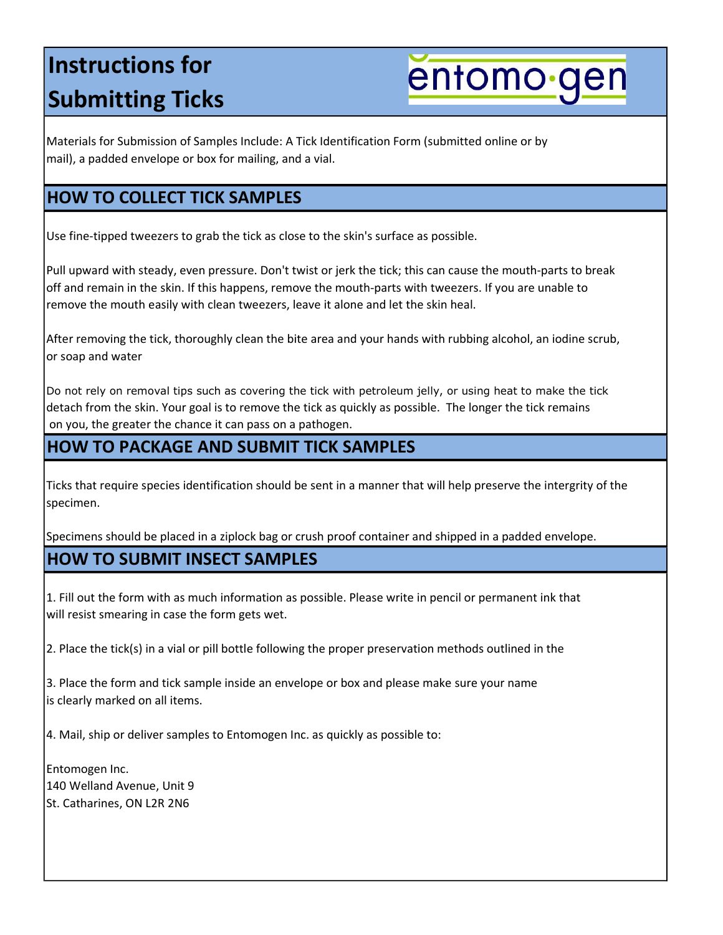## Instructions for Submitting Ticks

entomo gen

Materials for Submission of Samples Include: A Tick Identification Form (submitted online or by mail), a padded envelope or box for mailing, and a vial.

#### HOW TO COLLECT TICK SAMPLES

Use fine-tipped tweezers to grab the tick as close to the skin's surface as possible.

Pull upward with steady, even pressure. Don't twist or jerk the tick; this can cause the mouth-parts to break off and remain in the skin. If this happens, remove the mouth-parts with tweezers. If you are unable to remove the mouth easily with clean tweezers, leave it alone and let the skin heal.

After removing the tick, thoroughly clean the bite area and your hands with rubbing alcohol, an iodine scrub, or soap and water

Do not rely on removal tips such as covering the tick with petroleum jelly, or using heat to make the tick detach from the skin. Your goal is to remove the tick as quickly as possible. The longer the tick remains on you, the greater the chance it can pass on a pathogen.

#### HOW TO PACKAGE AND SUBMIT TICK SAMPLES

Ticks that require species identification should be sent in a manner that will help preserve the intergrity of the specimen.

Specimens should be placed in a ziplock bag or crush proof container and shipped in a padded envelope.

#### HOW TO SUBMIT INSECT SAMPLES

1. Fill out the form with as much information as possible. Please write in pencil or permanent ink that will resist smearing in case the form gets wet.

2. Place the tick(s) in a vial or pill bottle following the proper preservation methods outlined in the

3. Place the form and tick sample inside an envelope or box and please make sure your name is clearly marked on all items.

4. Mail, ship or deliver samples to Entomogen Inc. as quickly as possible to:

Entomogen Inc. 140 Welland Avenue, Unit 9 St. Catharines, ON L2R 2N6